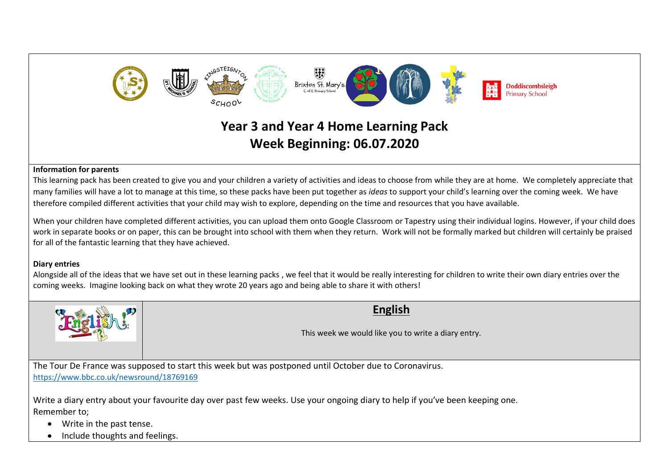

# **Year 3 and Year 4 Home Learning Pack Week Beginning: 06.07.2020**

#### **Information for parents**

This learning pack has been created to give you and your children a variety of activities and ideas to choose from while they are at home. We completely appreciate that many families will have a lot to manage at this time, so these packs have been put together as *ideas* to support your child's learning over the coming week. We have therefore compiled different activities that your child may wish to explore, depending on the time and resources that you have available.

When your children have completed different activities, you can upload them onto Google Classroom or Tapestry using their individual logins. However, if your child does work in separate books or on paper, this can be brought into school with them when they return. Work will not be formally marked but children will certainly be praised for all of the fantastic learning that they have achieved.

#### **Diary entries**

Alongside all of the ideas that we have set out in these learning packs , we feel that it would be really interesting for children to write their own diary entries over the coming weeks. Imagine looking back on what they wrote 20 years ago and being able to share it with others!



## **English**

This week we would like you to write a diary entry.

The Tour De France was supposed to start this week but was postponed until October due to Coronavirus. <https://www.bbc.co.uk/newsround/18769169>

Write a diary entry about your favourite day over past few weeks. Use your ongoing diary to help if you've been keeping one. Remember to;

- Write in the past tense.
- Include thoughts and feelings.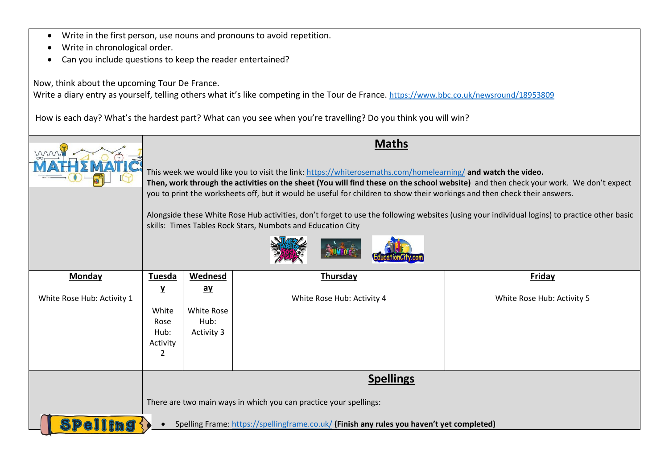- Write in the first person, use nouns and pronouns to avoid repetition.
- Write in chronological order.
- Can you include questions to keep the reader entertained?

Now, think about the upcoming Tour De France.

Write a diary entry as yourself, telling others what it's like competing in the Tour de France. <https://www.bbc.co.uk/newsround/18953809>

How is each day? What's the hardest part? What can you see when you're travelling? Do you think you will win?

| mm                         | <b>Maths</b><br>This week we would like you to visit the link: https://whiterosemaths.com/homelearning/ and watch the video.<br>Then, work through the activities on the sheet (You will find these on the school website) and then check your work. We don't expect<br>you to print the worksheets off, but it would be useful for children to show their workings and then check their answers.<br>Alongside these White Rose Hub activities, don't forget to use the following websites (using your individual logins) to practice other basic<br>skills: Times Tables Rock Stars, Numbots and Education City |                                                                   |                            |                            |  |
|----------------------------|------------------------------------------------------------------------------------------------------------------------------------------------------------------------------------------------------------------------------------------------------------------------------------------------------------------------------------------------------------------------------------------------------------------------------------------------------------------------------------------------------------------------------------------------------------------------------------------------------------------|-------------------------------------------------------------------|----------------------------|----------------------------|--|
| <b>Monday</b>              | Tuesda                                                                                                                                                                                                                                                                                                                                                                                                                                                                                                                                                                                                           | <b>Wednesd</b>                                                    | <b>Thursday</b>            | <b>Friday</b>              |  |
| White Rose Hub: Activity 1 | $\mathbf{Y}$                                                                                                                                                                                                                                                                                                                                                                                                                                                                                                                                                                                                     | $\mathbf{a}\mathbf{y}$                                            | White Rose Hub: Activity 4 | White Rose Hub: Activity 5 |  |
|                            | White                                                                                                                                                                                                                                                                                                                                                                                                                                                                                                                                                                                                            | White Rose<br>Hub:                                                |                            |                            |  |
|                            | Rose<br>Hub:                                                                                                                                                                                                                                                                                                                                                                                                                                                                                                                                                                                                     | Activity 3                                                        |                            |                            |  |
|                            | Activity                                                                                                                                                                                                                                                                                                                                                                                                                                                                                                                                                                                                         |                                                                   |                            |                            |  |
|                            | 2                                                                                                                                                                                                                                                                                                                                                                                                                                                                                                                                                                                                                |                                                                   |                            |                            |  |
|                            | <b>Spellings</b>                                                                                                                                                                                                                                                                                                                                                                                                                                                                                                                                                                                                 |                                                                   |                            |                            |  |
|                            |                                                                                                                                                                                                                                                                                                                                                                                                                                                                                                                                                                                                                  | There are two main ways in which you can practice your spellings: |                            |                            |  |
| Spell                      | Spelling Frame: https://spellingframe.co.uk/ (Finish any rules you haven't yet completed)                                                                                                                                                                                                                                                                                                                                                                                                                                                                                                                        |                                                                   |                            |                            |  |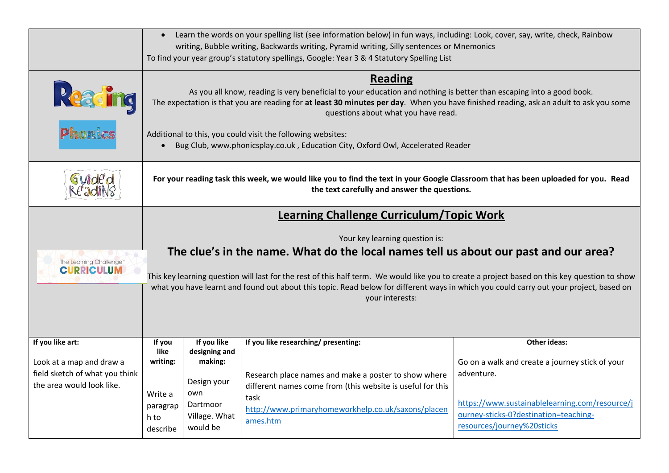|                                                                                                             | Learn the words on your spelling list (see information below) in fun ways, including: Look, cover, say, write, check, Rainbow<br>$\bullet$<br>writing, Bubble writing, Backwards writing, Pyramid writing, Silly sentences or Mnemonics<br>To find your year group's statutory spellings, Google: Year 3 & 4 Statutory Spelling List                                                                                                                                                    |                                                                                                        |                                                                                                                                                                                                                                      |                                                                                                                                                                                                               |
|-------------------------------------------------------------------------------------------------------------|-----------------------------------------------------------------------------------------------------------------------------------------------------------------------------------------------------------------------------------------------------------------------------------------------------------------------------------------------------------------------------------------------------------------------------------------------------------------------------------------|--------------------------------------------------------------------------------------------------------|--------------------------------------------------------------------------------------------------------------------------------------------------------------------------------------------------------------------------------------|---------------------------------------------------------------------------------------------------------------------------------------------------------------------------------------------------------------|
| Reading<br>Phonics                                                                                          | <b>Reading</b><br>As you all know, reading is very beneficial to your education and nothing is better than escaping into a good book.<br>The expectation is that you are reading for at least 30 minutes per day. When you have finished reading, ask an adult to ask you some<br>questions about what you have read.<br>Additional to this, you could visit the following websites:<br>Bug Club, www.phonicsplay.co.uk, Education City, Oxford Owl, Accelerated Reader                 |                                                                                                        |                                                                                                                                                                                                                                      |                                                                                                                                                                                                               |
| Guideo                                                                                                      | For your reading task this week, we would like you to find the text in your Google Classroom that has been uploaded for you. Read<br>the text carefully and answer the questions.                                                                                                                                                                                                                                                                                                       |                                                                                                        |                                                                                                                                                                                                                                      |                                                                                                                                                                                                               |
| The Learning Challenge'<br><b>CURRICULUM</b>                                                                | <b>Learning Challenge Curriculum/Topic Work</b><br>Your key learning question is:<br>The clue's in the name. What do the local names tell us about our past and our area?<br>This key learning question will last for the rest of this half term. We would like you to create a project based on this key question to show<br>what you have learnt and found out about this topic. Read below for different ways in which you could carry out your project, based on<br>your interests: |                                                                                                        |                                                                                                                                                                                                                                      |                                                                                                                                                                                                               |
| If you like art:<br>Look at a map and draw a<br>field sketch of what you think<br>the area would look like. | If you<br>like<br>writing:<br>Write a<br>paragrap<br>h to<br>describe                                                                                                                                                                                                                                                                                                                                                                                                                   | If you like<br>designing and<br>making:<br>Design your<br>own<br>Dartmoor<br>Village. What<br>would be | If you like researching/ presenting:<br>Research place names and make a poster to show where<br>different names come from (this website is useful for this<br>task<br>http://www.primaryhomeworkhelp.co.uk/saxons/placen<br>ames.htm | <b>Other ideas:</b><br>Go on a walk and create a journey stick of your<br>adventure.<br>https://www.sustainablelearning.com/resource/j<br>ourney-sticks-0?destination=teaching-<br>resources/journey%20sticks |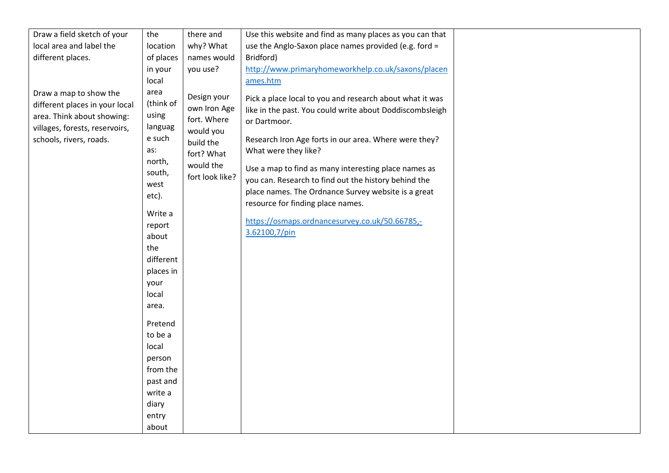| Draw a field sketch of your                                                                                                                         | the                                                                                                                                                                                                                                                                                         | there and                                                                                                          | Use this website and find as many places as you can that                                                                                                                                                                                                                                                                                                                                                                                                                                             |
|-----------------------------------------------------------------------------------------------------------------------------------------------------|---------------------------------------------------------------------------------------------------------------------------------------------------------------------------------------------------------------------------------------------------------------------------------------------|--------------------------------------------------------------------------------------------------------------------|------------------------------------------------------------------------------------------------------------------------------------------------------------------------------------------------------------------------------------------------------------------------------------------------------------------------------------------------------------------------------------------------------------------------------------------------------------------------------------------------------|
| local area and label the                                                                                                                            | location                                                                                                                                                                                                                                                                                    | why? What                                                                                                          | use the Anglo-Saxon place names provided (e.g. ford =                                                                                                                                                                                                                                                                                                                                                                                                                                                |
| different places.                                                                                                                                   | of places                                                                                                                                                                                                                                                                                   | names would                                                                                                        | Bridford)                                                                                                                                                                                                                                                                                                                                                                                                                                                                                            |
|                                                                                                                                                     | in your                                                                                                                                                                                                                                                                                     | you use?                                                                                                           | http://www.primaryhomeworkhelp.co.uk/saxons/placen                                                                                                                                                                                                                                                                                                                                                                                                                                                   |
|                                                                                                                                                     | local                                                                                                                                                                                                                                                                                       |                                                                                                                    | ames.htm                                                                                                                                                                                                                                                                                                                                                                                                                                                                                             |
| Draw a map to show the<br>different places in your local<br>area. Think about showing:<br>villages, forests, reservoirs,<br>schools, rivers, roads. | area<br>(think of<br>using<br>languag<br>e such<br>as:<br>north,<br>south,<br>west<br>etc).<br>Write a<br>report<br>about<br>the<br>different<br>places in<br>your<br>local<br>area.<br>Pretend<br>to be a<br>local<br>person<br>from the<br>past and<br>write a<br>diary<br>entry<br>about | Design your<br>own Iron Age<br>fort. Where<br>would you<br>build the<br>fort? What<br>would the<br>fort look like? | Pick a place local to you and research about what it was<br>like in the past. You could write about Doddiscombsleigh<br>or Dartmoor.<br>Research Iron Age forts in our area. Where were they?<br>What were they like?<br>Use a map to find as many interesting place names as<br>you can. Research to find out the history behind the<br>place names. The Ordnance Survey website is a great<br>resource for finding place names.<br>https://osmaps.ordnancesurvey.co.uk/50.66785,-<br>3.62100,7/pin |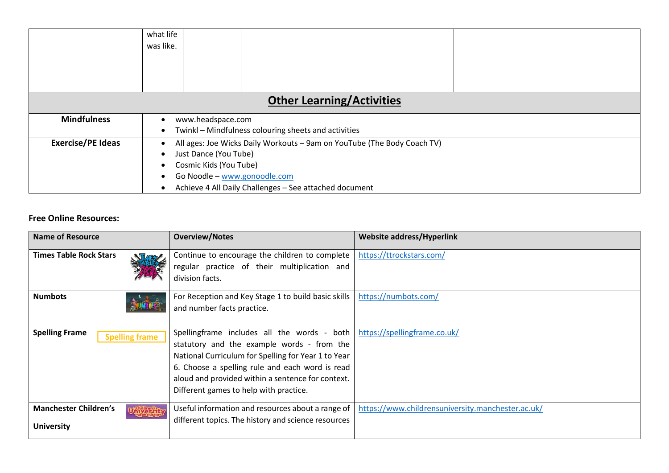|                                  | what life                                                               |  |  |  |  |
|----------------------------------|-------------------------------------------------------------------------|--|--|--|--|
|                                  | was like.                                                               |  |  |  |  |
|                                  |                                                                         |  |  |  |  |
|                                  |                                                                         |  |  |  |  |
|                                  |                                                                         |  |  |  |  |
|                                  |                                                                         |  |  |  |  |
| <b>Other Learning/Activities</b> |                                                                         |  |  |  |  |
| <b>Mindfulness</b>               | www.headspace.com                                                       |  |  |  |  |
|                                  | Twinkl - Mindfulness colouring sheets and activities                    |  |  |  |  |
| <b>Exercise/PE Ideas</b>         | All ages: Joe Wicks Daily Workouts - 9am on YouTube (The Body Coach TV) |  |  |  |  |
|                                  | Just Dance (You Tube)<br>$\bullet$                                      |  |  |  |  |
|                                  | Cosmic Kids (You Tube)                                                  |  |  |  |  |
|                                  | Go Noodle - www.gonoodle.com                                            |  |  |  |  |
|                                  | Achieve 4 All Daily Challenges - See attached document                  |  |  |  |  |

### **Free Online Resources:**

| Name of Resource                                  | <b>Overview/Notes</b>                                                                                                                                                                                                                                                                              | <b>Website address/Hyperlink</b>                  |
|---------------------------------------------------|----------------------------------------------------------------------------------------------------------------------------------------------------------------------------------------------------------------------------------------------------------------------------------------------------|---------------------------------------------------|
| <b>Times Table Rock Stars</b>                     | Continue to encourage the children to complete<br>regular practice of their multiplication and<br>division facts.                                                                                                                                                                                  | https://ttrockstars.com/                          |
| <b>Numbots</b>                                    | For Reception and Key Stage 1 to build basic skills<br>and number facts practice.                                                                                                                                                                                                                  | https://numbots.com/                              |
| <b>Spelling Frame</b><br><b>Spelling frame</b>    | Spellingframe includes all the words - both<br>statutory and the example words - from the<br>National Curriculum for Spelling for Year 1 to Year<br>6. Choose a spelling rule and each word is read<br>aloud and provided within a sentence for context.<br>Different games to help with practice. | https://spellingframe.co.uk/                      |
| <b>Manchester Children's</b><br><b>University</b> | Useful information and resources about a range of<br>different topics. The history and science resources                                                                                                                                                                                           | https://www.childrensuniversity.manchester.ac.uk/ |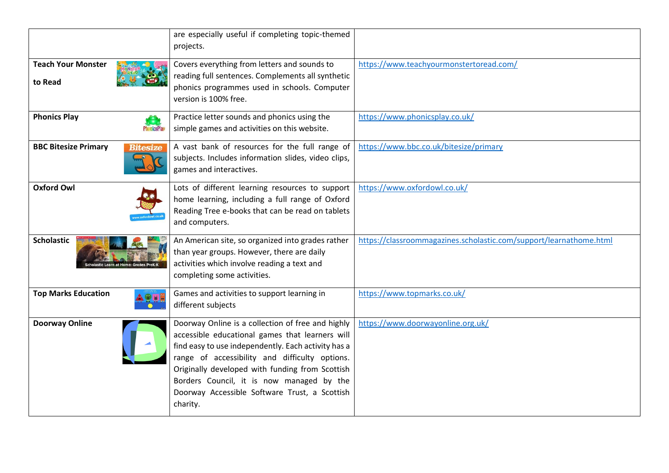|                                                | are especially useful if completing topic-themed<br>projects.                                                                                                                                                                                                                                                                                                              |                                                                    |
|------------------------------------------------|----------------------------------------------------------------------------------------------------------------------------------------------------------------------------------------------------------------------------------------------------------------------------------------------------------------------------------------------------------------------------|--------------------------------------------------------------------|
| <b>Teach Your Monster</b><br>to Read           | Covers everything from letters and sounds to<br>reading full sentences. Complements all synthetic<br>phonics programmes used in schools. Computer<br>version is 100% free.                                                                                                                                                                                                 | https://www.teachyourmonstertoread.com/                            |
| <b>Phonics Play</b><br><b>PhonicsPlay</b>      | Practice letter sounds and phonics using the<br>simple games and activities on this website.                                                                                                                                                                                                                                                                               | https://www.phonicsplay.co.uk/                                     |
| <b>BBC Bitesize Primary</b><br><b>Bitesize</b> | A vast bank of resources for the full range of<br>subjects. Includes information slides, video clips,<br>games and interactives.                                                                                                                                                                                                                                           | https://www.bbc.co.uk/bitesize/primary                             |
| <b>Oxford Owl</b>                              | Lots of different learning resources to support<br>home learning, including a full range of Oxford<br>Reading Tree e-books that can be read on tablets<br>and computers.                                                                                                                                                                                                   | https://www.oxfordowl.co.uk/                                       |
| <b>Scholastic</b>                              | An American site, so organized into grades rather<br>than year groups. However, there are daily<br>activities which involve reading a text and<br>completing some activities.                                                                                                                                                                                              | https://classroommagazines.scholastic.com/support/learnathome.html |
| <b>Top Marks Education</b>                     | Games and activities to support learning in<br>different subjects                                                                                                                                                                                                                                                                                                          | https://www.topmarks.co.uk/                                        |
| <b>Doorway Online</b>                          | Doorway Online is a collection of free and highly<br>accessible educational games that learners will<br>find easy to use independently. Each activity has a<br>range of accessibility and difficulty options.<br>Originally developed with funding from Scottish<br>Borders Council, it is now managed by the<br>Doorway Accessible Software Trust, a Scottish<br>charity. | https://www.doorwayonline.org.uk/                                  |